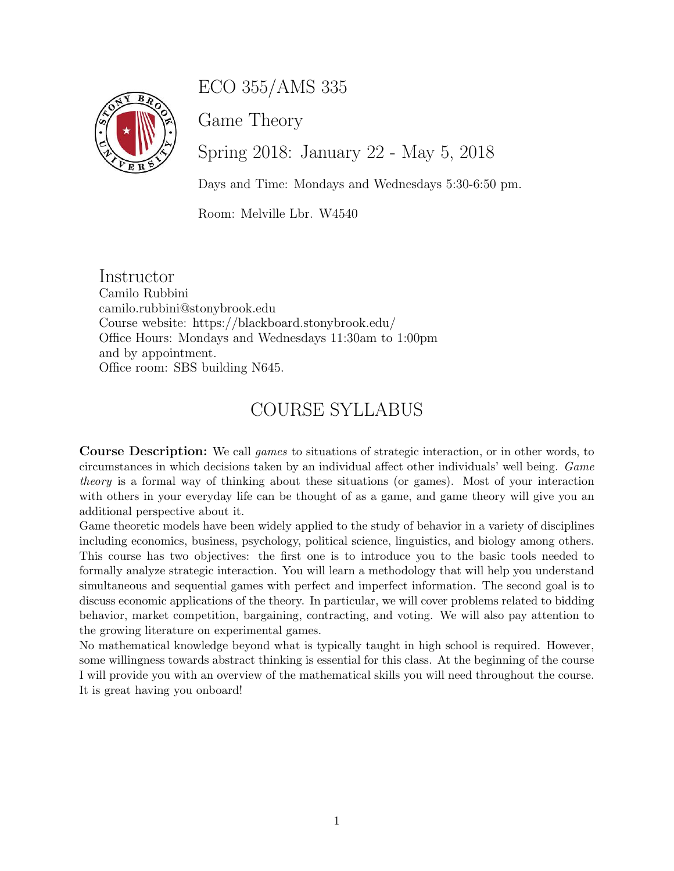# ECO 355/AMS 335



Game Theory

Spring 2018: January 22 - May 5, 2018

Days and Time: Mondays and Wednesdays 5:30-6:50 pm.

Room: Melville Lbr. W4540

Instructor Camilo Rubbini camilo.rubbini@stonybrook.edu Course website: https://blackboard.stonybrook.edu/ Office Hours: Mondays and Wednesdays 11:30am to 1:00pm and by appointment. Office room: SBS building N645.

## COURSE SYLLABUS

Course Description: We call games to situations of strategic interaction, or in other words, to circumstances in which decisions taken by an individual affect other individuals' well being. Game theory is a formal way of thinking about these situations (or games). Most of your interaction with others in your everyday life can be thought of as a game, and game theory will give you an additional perspective about it.

Game theoretic models have been widely applied to the study of behavior in a variety of disciplines including economics, business, psychology, political science, linguistics, and biology among others. This course has two objectives: the first one is to introduce you to the basic tools needed to formally analyze strategic interaction. You will learn a methodology that will help you understand simultaneous and sequential games with perfect and imperfect information. The second goal is to discuss economic applications of the theory. In particular, we will cover problems related to bidding behavior, market competition, bargaining, contracting, and voting. We will also pay attention to the growing literature on experimental games.

No mathematical knowledge beyond what is typically taught in high school is required. However, some willingness towards abstract thinking is essential for this class. At the beginning of the course I will provide you with an overview of the mathematical skills you will need throughout the course. It is great having you onboard!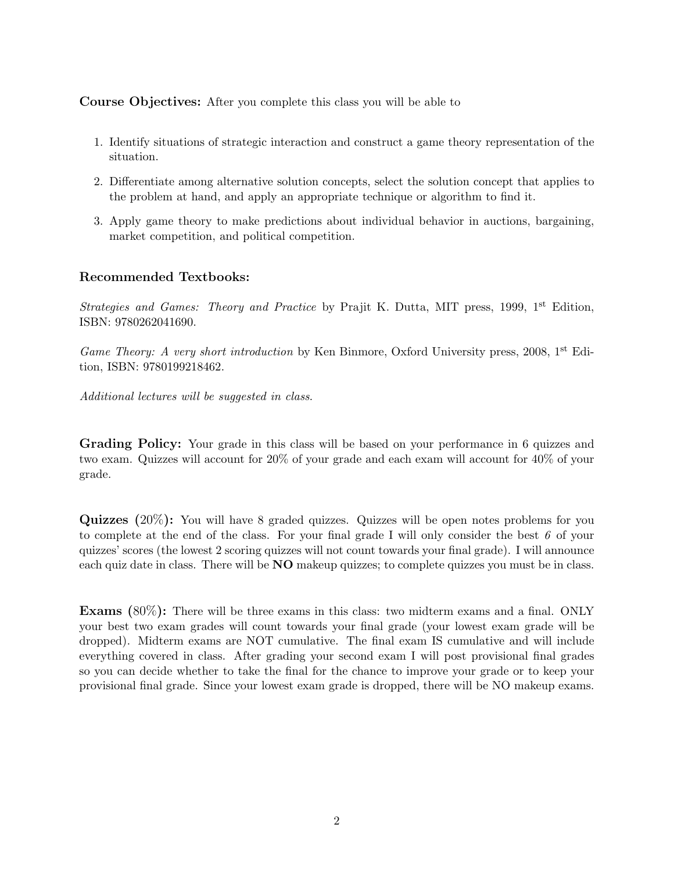Course Objectives: After you complete this class you will be able to

- 1. Identify situations of strategic interaction and construct a game theory representation of the situation.
- 2. Differentiate among alternative solution concepts, select the solution concept that applies to the problem at hand, and apply an appropriate technique or algorithm to find it.
- 3. Apply game theory to make predictions about individual behavior in auctions, bargaining, market competition, and political competition.

#### Recommended Textbooks:

Strategies and Games: Theory and Practice by Prajit K. Dutta, MIT press, 1999, 1<sup>st</sup> Edition, ISBN: 9780262041690.

Game Theory: A very short introduction by Ken Binmore, Oxford University press, 2008,  $1<sup>st</sup>$  Edition, ISBN: 9780199218462.

Additional lectures will be suggested in class.

Grading Policy: Your grade in this class will be based on your performance in 6 quizzes and two exam. Quizzes will account for 20% of your grade and each exam will account for 40% of your grade.

Quizzes (20%): You will have 8 graded quizzes. Quizzes will be open notes problems for you to complete at the end of the class. For your final grade I will only consider the best  $\ell$  of your quizzes' scores (the lowest 2 scoring quizzes will not count towards your final grade). I will announce each quiz date in class. There will be **NO** makeup quizzes; to complete quizzes you must be in class.

Exams (80%): There will be three exams in this class: two midterm exams and a final. ONLY your best two exam grades will count towards your final grade (your lowest exam grade will be dropped). Midterm exams are NOT cumulative. The final exam IS cumulative and will include everything covered in class. After grading your second exam I will post provisional final grades so you can decide whether to take the final for the chance to improve your grade or to keep your provisional final grade. Since your lowest exam grade is dropped, there will be NO makeup exams.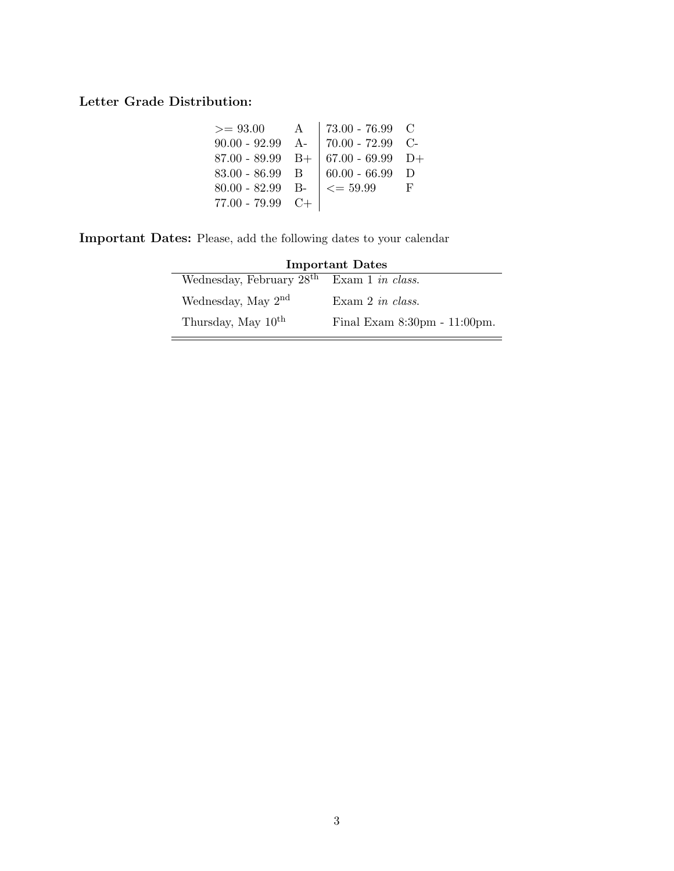### Letter Grade Distribution:

| $>= 93.00$         | $\mathbf{A}$ | 73.00 - 76.99 $\,$ C          |   |
|--------------------|--------------|-------------------------------|---|
| $90.00 - 92.99$ A- |              | $ 70.00 - 72.99$ C-           |   |
| $87.00 - 89.99$ B+ |              | $  67.00 - 69.99 \text{ D+}$  |   |
| 83.00 - 86.99 B    |              | $60.00 - 66.99$ D             |   |
| $80.00 - 82.99$ B- |              | $\vert \langle = 59.99 \vert$ | F |
| $77.00 - 79.99$ C+ |              |                               |   |
|                    |              |                               |   |

Important Dates: Please, add the following dates to your calendar

| <b>Important Dates</b>                      |                              |  |
|---------------------------------------------|------------------------------|--|
| Wednesday, February $28th$ Exam 1 in class. |                              |  |
| Wednesday, May $2nd$                        | Exam 2 in class.             |  |
| Thursday, May 10 <sup>th</sup>              | Final Exam 8:30pm - 11:00pm. |  |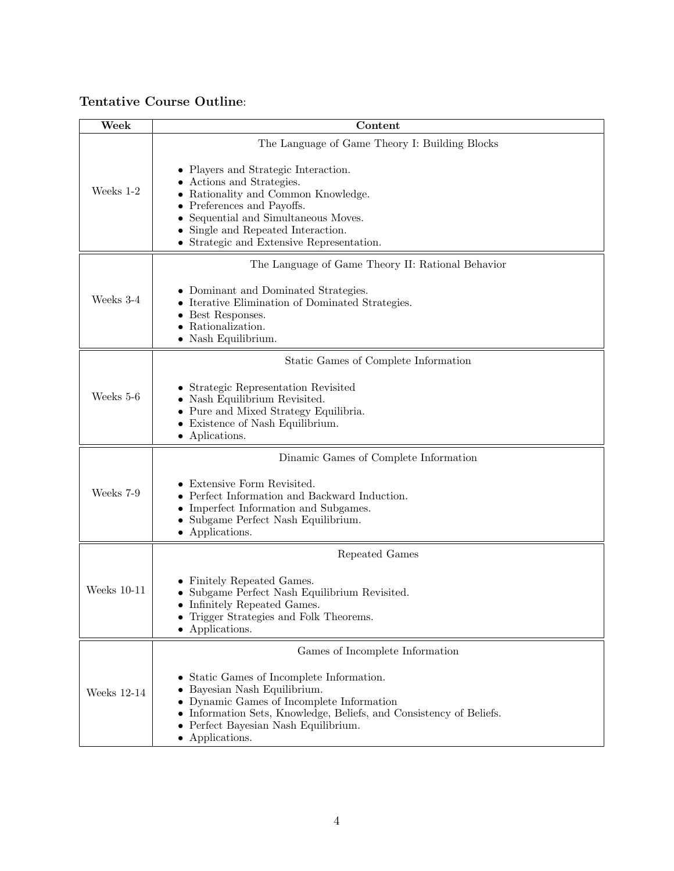### Tentative Course Outline:

| Week          | Content                                                                                                                                                                                                                                                  |
|---------------|----------------------------------------------------------------------------------------------------------------------------------------------------------------------------------------------------------------------------------------------------------|
|               | The Language of Game Theory I: Building Blocks                                                                                                                                                                                                           |
| Weeks 1-2     | • Players and Strategic Interaction.<br>Actions and Strategies.<br>Rationality and Common Knowledge.<br>Preferences and Payoffs.<br>Sequential and Simultaneous Moves.<br>Single and Repeated Interaction.<br>Strategic and Extensive Representation.    |
|               | The Language of Game Theory II: Rational Behavior                                                                                                                                                                                                        |
| Weeks 3-4     | Dominant and Dominated Strategies.<br>Iterative Elimination of Dominated Strategies.<br>Best Responses.<br>Rationalization.<br>• Nash Equilibrium.                                                                                                       |
|               | Static Games of Complete Information                                                                                                                                                                                                                     |
| Weeks 5-6     | Strategic Representation Revisited<br>Nash Equilibrium Revisited.<br>Pure and Mixed Strategy Equilibria.<br>Existence of Nash Equilibrium.<br>• Aplications.                                                                                             |
|               | Dinamic Games of Complete Information                                                                                                                                                                                                                    |
| Weeks 7-9     | Extensive Form Revisited.<br>Perfect Information and Backward Induction.<br>Imperfect Information and Subgames.<br>Subgame Perfect Nash Equilibrium.<br>• Applications.                                                                                  |
|               | Repeated Games                                                                                                                                                                                                                                           |
| Weeks $10-11$ | Finitely Repeated Games.<br>Subgame Perfect Nash Equilibrium Revisited.<br>• Infinitely Repeated Games.<br>• Trigger Strategies and Folk Theorems.<br>• Applications.                                                                                    |
|               | Games of Incomplete Information                                                                                                                                                                                                                          |
| Weeks 12-14   | • Static Games of Incomplete Information.<br>• Bayesian Nash Equilibrium.<br>• Dynamic Games of Incomplete Information<br>• Information Sets, Knowledge, Beliefs, and Consistency of Beliefs.<br>• Perfect Bayesian Nash Equilibrium.<br>• Applications. |